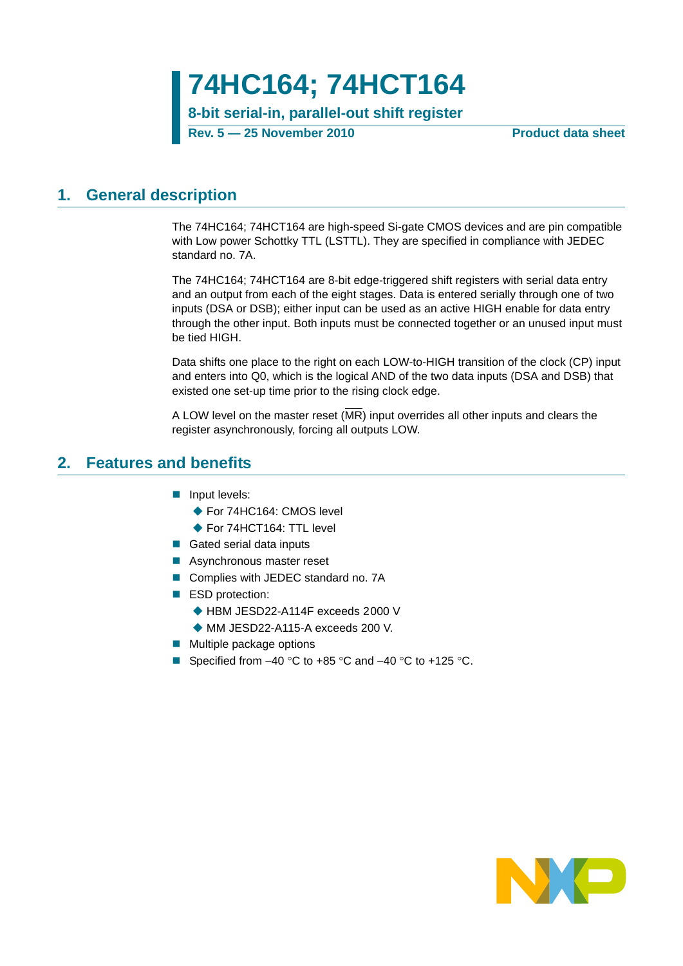**74HC164; 74HCT164**

**8-bit serial-in, parallel-out shift register**

**Rev. 5 — 25 November 2010 Product data sheet**

## <span id="page-0-0"></span>**1. General description**

The 74HC164; 74HCT164 are high-speed Si-gate CMOS devices and are pin compatible with Low power Schottky TTL (LSTTL). They are specified in compliance with JEDEC standard no. 7A.

The 74HC164; 74HCT164 are 8-bit edge-triggered shift registers with serial data entry and an output from each of the eight stages. Data is entered serially through one of two inputs (DSA or DSB); either input can be used as an active HIGH enable for data entry through the other input. Both inputs must be connected together or an unused input must be tied HIGH.

Data shifts one place to the right on each LOW-to-HIGH transition of the clock (CP) input and enters into Q0, which is the logical AND of the two data inputs (DSA and DSB) that existed one set-up time prior to the rising clock edge.

A LOW level on the master reset (MR) input overrides all other inputs and clears the register asynchronously, forcing all outputs LOW.

## <span id="page-0-1"></span>**2. Features and benefits**

- **Input levels:** 
	- ◆ For 74HC164: CMOS level
	- ◆ For 74HCT164: TTL level
- Gated serial data inputs
- Asynchronous master reset
- Complies with JEDEC standard no. 7A
- ESD protection:
	- ◆ HBM JESD22-A114F exceeds 2000 V
	- ◆ MM JESD22-A115-A exceeds 200 V.
- $\blacksquare$  Multiple package options
- Specified from  $-40$  °C to  $+85$  °C and  $-40$  °C to  $+125$  °C.

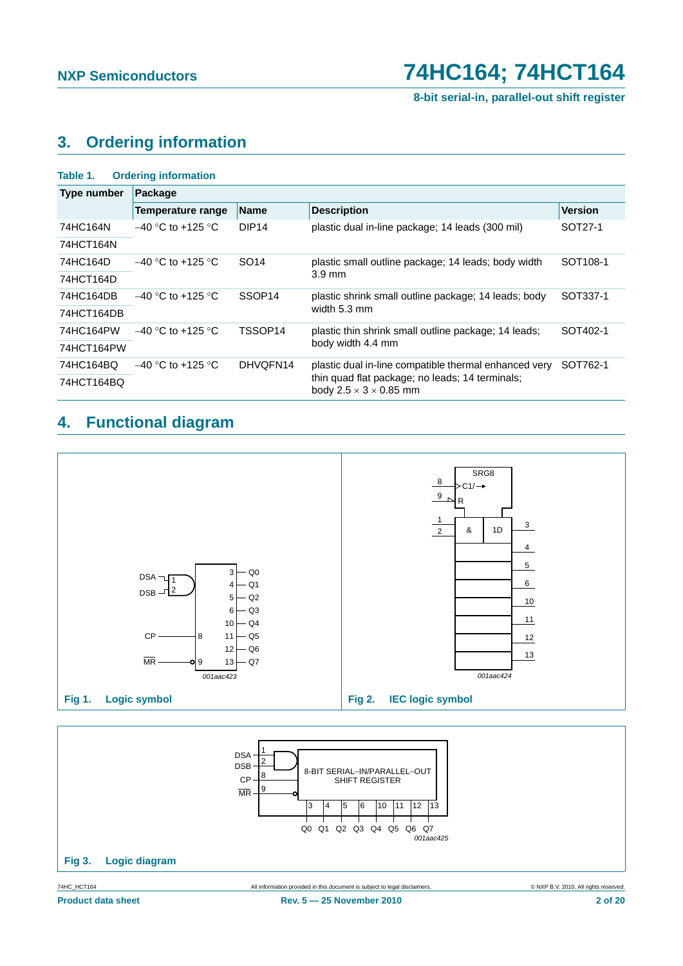**8-bit serial-in, parallel-out shift register**

## <span id="page-1-0"></span>**3. Ordering information**

| Table 1.    | <b>Ordering information</b> |                    |                                                                                       |                      |
|-------------|-----------------------------|--------------------|---------------------------------------------------------------------------------------|----------------------|
| Type number | Package                     |                    |                                                                                       |                      |
|             | Temperature range           | <b>Name</b>        | <b>Description</b>                                                                    | <b>Version</b>       |
| 74HC164N    | $-40$ °C to +125 °C         | DIP <sub>14</sub>  | plastic dual in-line package; 14 leads (300 mil)                                      | SOT27-1              |
| 74HCT164N   |                             |                    |                                                                                       |                      |
| 74HC164D    | $-40$ °C to +125 °C.        | SO <sub>14</sub>   | plastic small outline package; 14 leads; body width                                   | SOT <sub>108-1</sub> |
| 74HCT164D   |                             |                    | $3.9 \text{ mm}$                                                                      |                      |
| 74HC164DB   | $-40$ °C to +125 °C         | SSOP <sub>14</sub> | plastic shrink small outline package; 14 leads; body                                  | SOT337-1             |
| 74HCT164DB  |                             |                    | width 5.3 mm                                                                          |                      |
| 74HC164PW   | $-40$ °C to +125 °C         | TSSOP14            | plastic thin shrink small outline package; 14 leads;                                  | SOT402-1             |
| 74HCT164PW  |                             |                    | body width 4.4 mm                                                                     |                      |
| 74HC164BQ   | $-40$ °C to +125 °C         | DHVOFN14           | plastic dual in-line compatible thermal enhanced very                                 | SOT762-1             |
| 74HCT164BQ  |                             |                    | thin quad flat package; no leads; 14 terminals;<br>body $2.5 \times 3 \times 0.85$ mm |                      |

## <span id="page-1-1"></span>**4. Functional diagram**



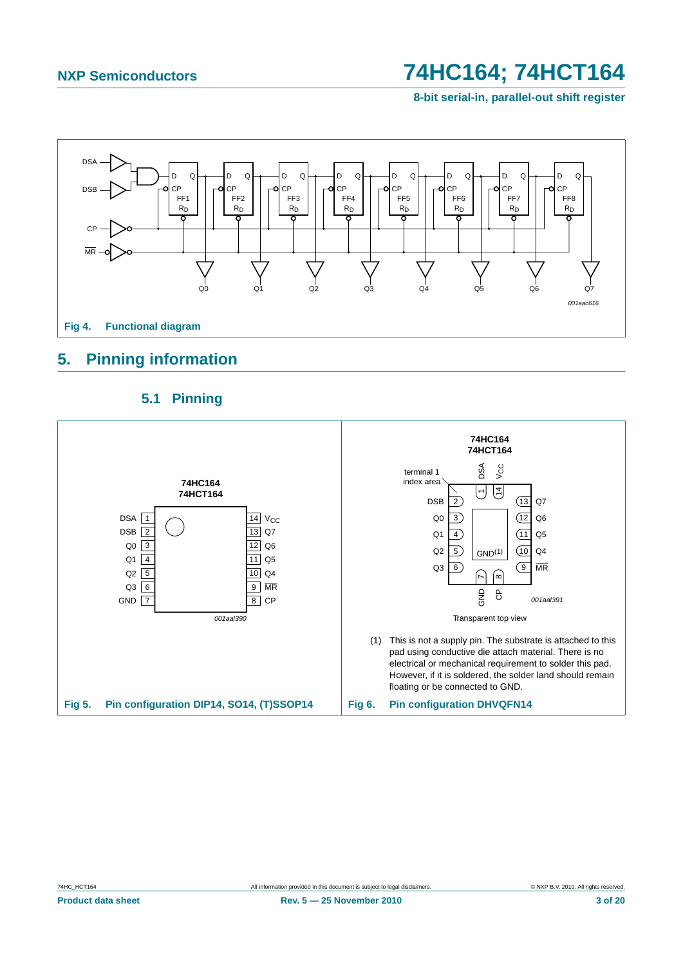**8-bit serial-in, parallel-out shift register**



## <span id="page-2-2"></span>**5. Pinning information**

<span id="page-2-3"></span>

## <span id="page-2-1"></span><span id="page-2-0"></span>**5.1 Pinning**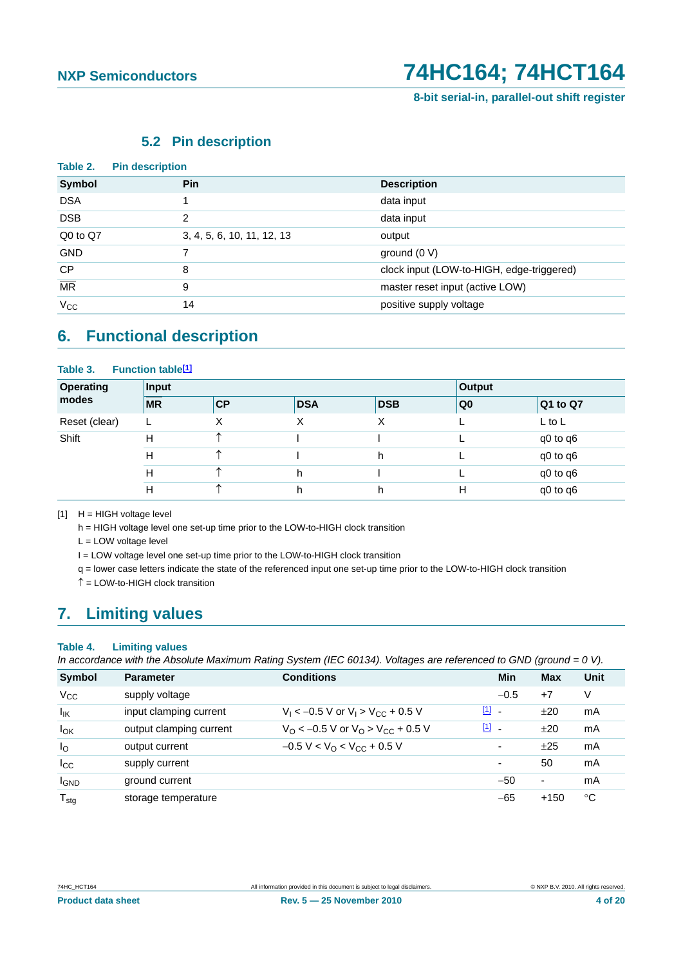**8-bit serial-in, parallel-out shift register**

## **5.2 Pin description**

<span id="page-3-1"></span>

| Table 2.                 | <b>Pin description</b>     |                                           |
|--------------------------|----------------------------|-------------------------------------------|
| <b>Symbol</b>            | <b>Pin</b>                 | <b>Description</b>                        |
| <b>DSA</b>               |                            | data input                                |
| <b>DSB</b>               | $\mathcal{P}$              | data input                                |
| Q0 to Q7                 | 3, 4, 5, 6, 10, 11, 12, 13 | output                                    |
| <b>GND</b>               |                            | ground $(0 V)$                            |
| <b>CP</b>                | 8                          | clock input (LOW-to-HIGH, edge-triggered) |
| $\overline{\mathsf{MR}}$ | 9                          | master reset input (active LOW)           |
| $V_{\rm CC}$             | 14                         | positive supply voltage                   |

## <span id="page-3-2"></span>**6. Functional description**

### Table 3. Function table<sup>[1]</sup>

| <b>Operating</b> | Input     |    | Output     |            |                 |                  |
|------------------|-----------|----|------------|------------|-----------------|------------------|
| modes            | <b>MR</b> | CP | <b>DSA</b> | <b>DSB</b> | $\overline{Q}0$ | $\vert$ Q1 to Q7 |
| Reset (clear)    | ட         | Х  | X          | Χ          |                 | $L$ to $L$       |
| Shift            | Н         |    |            |            |                 | q0 to q6         |
|                  | н         | ^  |            | h          |                 | q0 to q6         |
|                  | н         | ^  | h          |            |                 | q0 to q6         |
|                  | Н         | ᄉ  | h.         | h          | Н               | q0 to q6         |

<span id="page-3-0"></span> $[1]$  H = HIGH voltage level

h = HIGH voltage level one set-up time prior to the LOW-to-HIGH clock transition

L = LOW voltage level

I = LOW voltage level one set-up time prior to the LOW-to-HIGH clock transition

q = lower case letters indicate the state of the referenced input one set-up time prior to the LOW-to-HIGH clock transition

 $\hat{\uparrow}$  = LOW-to-HIGH clock transition

## <span id="page-3-3"></span>**7. Limiting values**

### **Table 4. Limiting values**

*In accordance with the Absolute Maximum Rating System (IEC 60134). Voltages are referenced to GND (ground = 0 V).*

| <b>Symbol</b>    | <b>Parameter</b>        | <b>Conditions</b>                                               | Min           | <b>Max</b> | Unit |
|------------------|-------------------------|-----------------------------------------------------------------|---------------|------------|------|
| $V_{\rm CC}$     | supply voltage          |                                                                 | $-0.5$        | $+7$       | V    |
| $I_{IK}$         | input clamping current  | $V_1$ < -0.5 V or $V_1$ > $V_{CC}$ + 0.5 V                      | $\boxed{1}$ - | $+20$      | mA   |
| $I_{OK}$         | output clamping current | $V_{\Omega}$ < -0.5 V or $V_{\Omega}$ > V <sub>CC</sub> + 0.5 V | $[1]$ $-$     | ±20        | mA   |
| $I_{\rm O}$      | output current          | $-0.5 V < VO < VCC + 0.5 V$                                     | ٠             | ±25        | mA   |
| $I_{\rm CC}$     | supply current          |                                                                 | ٠             | 50         | mA   |
| $I_{GND}$        | ground current          |                                                                 | $-50$         | ٠          | mA   |
| $T_{\text{stg}}$ | storage temperature     |                                                                 | $-65$         | $+150$     | ℃    |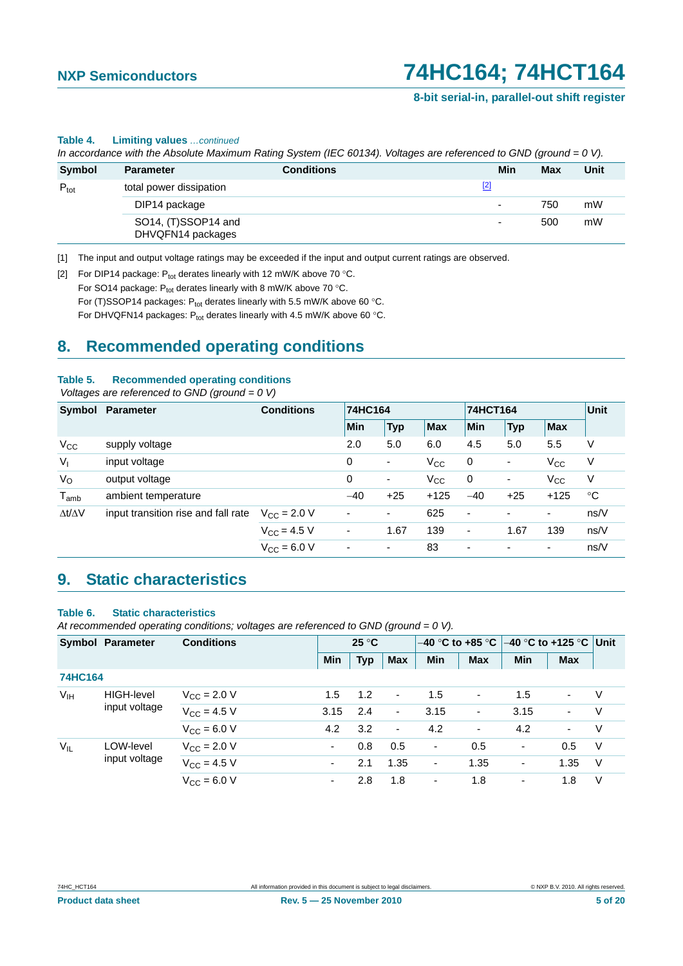### **8-bit serial-in, parallel-out shift register**

## $P_{\text{tot}}$  total power dissipation  $\boxed{2}$ DIP14 package model with the contract of the contract of the contract of the contract of the contract of the contract of the contract of the contract of the contract of the contract of the contract of the contract of the c SO14, (T)SSOP14 and DHVQFN14 packages - 500 mW **Symbol Parameter Conditions Min Max Unit**

**Table 4. Limiting values** *…continued*

*In accordance with the Absolute Maximum Rating System (IEC 60134). Voltages are referenced to GND (ground = 0 V).*

<span id="page-4-0"></span>[1] The input and output voltage ratings may be exceeded if the input and output current ratings are observed.

<span id="page-4-1"></span>[2] For DIP14 package:  $P_{tot}$  derates linearly with 12 mW/K above 70 °C.

For SO14 package:  $P_{tot}$  derates linearly with 8 mW/K above 70 °C.

For (T)SSOP14 packages:  $P_{tot}$  derates linearly with 5.5 mW/K above 60 °C.

For DHVQFN14 packages:  $P_{tot}$  derates linearly with 4.5 mW/K above 60 °C.

## <span id="page-4-2"></span>**8. Recommended operating conditions**

### **Table 5. Recommended operating conditions**

### *Voltages are referenced to GND (ground = 0 V)*

|                     | <b>Conditions</b><br>Symbol Parameter |                      |                          | 74HC164    |              |             | 74HCT164       |                          |             |  |
|---------------------|---------------------------------------|----------------------|--------------------------|------------|--------------|-------------|----------------|--------------------------|-------------|--|
|                     |                                       |                      | Min                      | <b>Typ</b> | <b>Max</b>   | <b>Min</b>  | <b>Typ</b>     | <b>Max</b>               |             |  |
| $V_{CC}$            | supply voltage                        |                      | 2.0                      | 5.0        | 6.0          | 4.5         | 5.0            | 5.5                      | V           |  |
| $V_{1}$             | input voltage                         |                      | 0                        | -          | $V_{CC}$     | $\mathbf 0$ | $\blacksquare$ | $V_{\rm CC}$             | $\vee$      |  |
| $V_{\rm O}$         | output voltage                        |                      | 0                        | -          | $V_{\rm CC}$ | 0           | ۰              | $V_{\rm CC}$             | V           |  |
| $T_{amb}$           | ambient temperature                   |                      | $-40$                    | $+25$      | $+125$       | $-40$       | $+25$          | $+125$                   | $^{\circ}C$ |  |
| $\Delta t/\Delta V$ | input transition rise and fall rate   | $V_{\rm CC}$ = 2.0 V | $\overline{\phantom{a}}$ | ٠          | 625          | ۰           | ٠              | ٠                        | ns/V        |  |
|                     |                                       | $V_{\rm CC}$ = 4.5 V | ٠                        | 1.67       | 139          | ٠           | 1.67           | 139                      | ns/V        |  |
|                     |                                       | $V_{\rm CC} = 6.0 V$ | ٠                        | ٠          | 83           | ۰           | ۰              | $\overline{\phantom{a}}$ | ns/V        |  |

## <span id="page-4-3"></span>**9. Static characteristics**

### **Table 6. Static characteristics**

*At recommended operating conditions; voltages are referenced to GND (ground = 0 V).*

| <b>Symbol Parameter</b> |                   | <b>Conditions</b>            | $25^{\circ}$ C |            |                | $-40$ °C to +85 °C |                          | <b>I–40 °C to +125 °C ∣Unit</b> |                |     |
|-------------------------|-------------------|------------------------------|----------------|------------|----------------|--------------------|--------------------------|---------------------------------|----------------|-----|
|                         |                   |                              | <b>Min</b>     | <b>Typ</b> | <b>Max</b>     | <b>Min</b>         | <b>Max</b>               | <b>Min</b>                      | <b>Max</b>     |     |
| <b>74HC164</b>          |                   |                              |                |            |                |                    |                          |                                 |                |     |
| V <sub>IH</sub>         | <b>HIGH-level</b> | $V_{\rm CC} = 2.0 V$         | 1.5            | 1.2        | $\blacksquare$ | 1.5                | $\overline{\phantom{a}}$ | 1.5                             | $\blacksquare$ | V   |
| input voltage           | $V_{CC}$ = 4.5 V  | 3.15                         | 2.4            | $\sim$     | 3.15           | ۰                  | 3.15                     | $\blacksquare$                  | V              |     |
|                         |                   | $V_{\rm CC} = 6.0 \text{ V}$ | 4.2            | 3.2        | $\blacksquare$ | 4.2                | $\overline{\phantom{a}}$ | 4.2                             | $\blacksquare$ | V   |
| $V_{IL}$                | LOW-level         | $V_{\rm CC}$ = 2.0 V         | ۰.             | 0.8        | 0.5            | ٠                  | 0.5                      | ٠                               | 0.5            | V   |
|                         | input voltage     | $V_{CC} = 4.5 V$             |                | 2.1        | 1.35           | ٠                  | 1.35                     | ٠                               | 1.35           | - V |
|                         |                   | $V_{\rm CC} = 6.0 V$         | ٠              | 2.8        | 1.8            | ۰                  | 1.8                      | ۰                               | 1.8            | V   |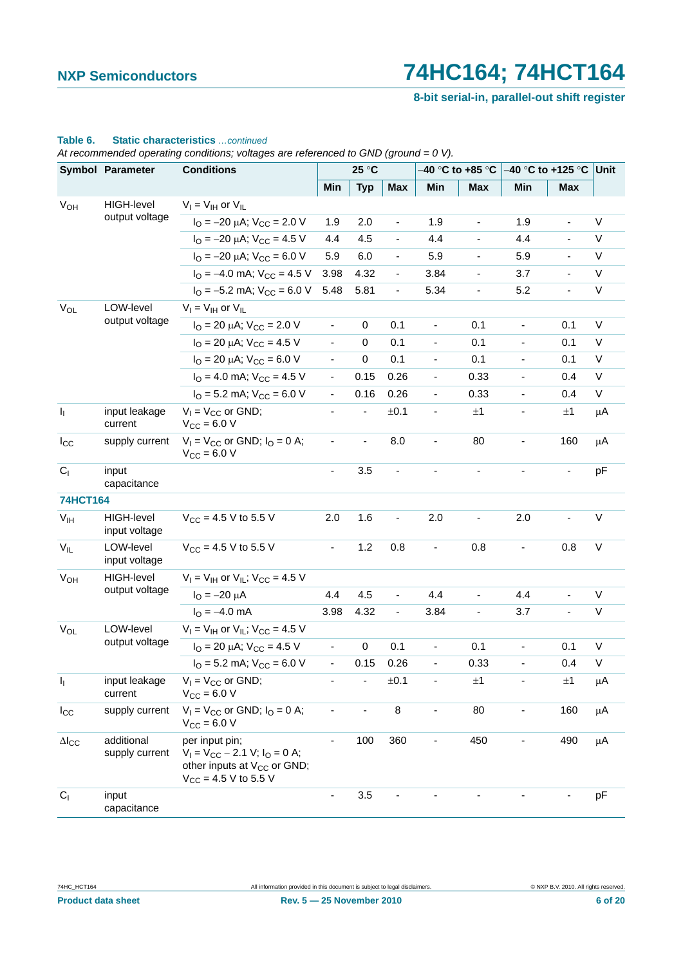**8-bit serial-in, parallel-out shift register**

|                 | Symbol Parameter                   | <b>Conditions</b>                                                                                                              |                          | 25 °C                    |                          |                          | –40 °C to +85 °C             |                          | –40 °C to +125 °C ∣Unit      |             |
|-----------------|------------------------------------|--------------------------------------------------------------------------------------------------------------------------------|--------------------------|--------------------------|--------------------------|--------------------------|------------------------------|--------------------------|------------------------------|-------------|
|                 |                                    |                                                                                                                                | Min                      | <b>Typ</b>               | Max                      | Min                      | Max                          | Min                      | Max                          |             |
| $V_{OH}$        | <b>HIGH-level</b>                  | $V_I = V_{IH}$ or $V_{IL}$                                                                                                     |                          |                          |                          |                          |                              |                          |                              |             |
|                 | output voltage                     | $I_{\text{O}} = -20 \mu\text{A}$ ; $V_{\text{CC}} = 2.0 \text{ V}$                                                             | 1.9                      | 2.0                      | $\overline{\phantom{a}}$ | 1.9                      | $\qquad \qquad \blacksquare$ | 1.9                      | $\overline{\phantom{a}}$     | V           |
|                 |                                    | $I_{\text{O}} = -20 \mu\text{A}$ ; $V_{\text{CC}} = 4.5 \text{ V}$                                                             | 4.4                      | 4.5                      | $\overline{\phantom{a}}$ | 4.4                      |                              | 4.4                      |                              | V           |
|                 |                                    | $I_{\text{O}} = -20 \mu\text{A}$ ; $V_{\text{CC}} = 6.0 \text{ V}$                                                             | 5.9                      | 6.0                      | $\overline{\phantom{a}}$ | 5.9                      | $\qquad \qquad \blacksquare$ | 5.9                      | $\overline{\phantom{a}}$     | V           |
|                 |                                    | $I_{\text{O}} = -4.0 \text{ mA}$ ; $V_{\text{CC}} = 4.5 \text{ V}$                                                             | 3.98                     | 4.32                     | $\overline{\phantom{a}}$ | 3.84                     | $\qquad \qquad \blacksquare$ | 3.7                      |                              | V           |
|                 |                                    | $I_{\Omega} = -5.2$ mA; $V_{\text{CC}} = 6.0$ V                                                                                | 5.48                     | 5.81                     | $\blacksquare$           | 5.34                     | $\qquad \qquad \blacksquare$ | 5.2                      | $\qquad \qquad \blacksquare$ | $\sf V$     |
| $\rm V_{OL}$    | LOW-level                          | $V_I = V_{IH}$ or $V_{IL}$                                                                                                     |                          |                          |                          |                          |                              |                          |                              |             |
|                 | output voltage                     | $I_{\text{O}}$ = 20 µA; $V_{\text{CC}}$ = 2.0 V                                                                                | $\blacksquare$           | 0                        | 0.1                      | $\overline{\phantom{a}}$ | 0.1                          | $\overline{\phantom{a}}$ | 0.1                          | V           |
|                 |                                    | $I_{\text{O}}$ = 20 µA; $V_{\text{CC}}$ = 4.5 V                                                                                | $\overline{\phantom{0}}$ | $\mathbf 0$              | 0.1                      | $\overline{\phantom{0}}$ | 0.1                          | $\overline{\phantom{a}}$ | 0.1                          | V           |
|                 |                                    | $I_{\text{O}}$ = 20 µA; $V_{\text{CC}}$ = 6.0 V                                                                                | $\blacksquare$           | $\mathbf 0$              | 0.1                      | $\overline{\phantom{a}}$ | 0.1                          | $\overline{\phantom{a}}$ | 0.1                          | V           |
|                 |                                    | $I_{\text{O}}$ = 4.0 mA; $V_{\text{CC}}$ = 4.5 V                                                                               | $\frac{1}{2}$            | 0.15                     | 0.26                     |                          | 0.33                         | $\overline{\phantom{a}}$ | 0.4                          | V           |
|                 |                                    | $IO$ = 5.2 mA; $VCC$ = 6.0 V                                                                                                   | $\blacksquare$           | 0.16                     | 0.26                     | $\overline{\phantom{0}}$ | 0.33                         | $\overline{\phantom{a}}$ | 0.4                          | V           |
| $I_1$           | input leakage<br>current           | $V_1 = V_{CC}$ or GND;<br>$V_{\text{CC}} = 6.0 V$                                                                              |                          |                          | ±0.1                     |                          | ±1                           |                          | ±1                           | $\mu$ A     |
| $I_{\rm CC}$    | supply current                     | $V_1 = V_{CC}$ or GND; $I_Q = 0$ A;<br>$V_{CC} = 6.0 V$                                                                        |                          | $\overline{\phantom{a}}$ | 8.0                      | $\overline{\phantom{a}}$ | 80                           | $\blacksquare$           | 160                          | $\mu$ A     |
| C <sub>1</sub>  | input<br>capacitance               |                                                                                                                                | ÷,                       | 3.5                      | $\blacksquare$           |                          | $\overline{a}$               | ÷,                       | $\blacksquare$               | pF          |
| 74HCT164        |                                    |                                                                                                                                |                          |                          |                          |                          |                              |                          |                              |             |
| $V_{IH}$        | <b>HIGH-level</b><br>input voltage | $V_{CC}$ = 4.5 V to 5.5 V                                                                                                      | 2.0                      | 1.6                      | $\overline{\phantom{a}}$ | 2.0                      | -                            | 2.0                      |                              | V           |
| $V_{IL}$        | LOW-level<br>input voltage         | $V_{CC}$ = 4.5 V to 5.5 V                                                                                                      | $\overline{\phantom{0}}$ | 1.2                      | 0.8                      |                          | 0.8                          |                          | 0.8                          | $\mathsf V$ |
| V <sub>OH</sub> | HIGH-level                         | $V_1 = V_{1H}$ or $V_{1L}$ ; $V_{CC} = 4.5$ V                                                                                  |                          |                          |                          |                          |                              |                          |                              |             |
|                 | output voltage                     | $I_{\rm O} = -20 \mu A$                                                                                                        | 4.4                      | 4.5                      | $\blacksquare$           | 4.4                      | ä,                           | 4.4                      |                              | V           |
|                 |                                    | $I_{\text{O}} = -4.0 \text{ mA}$                                                                                               | 3.98                     | 4.32                     | $\blacksquare$           | 3.84                     | $\qquad \qquad \blacksquare$ | 3.7                      |                              | V           |
| $\rm V_{OL}$    | LOW-level                          | $V_I = V_{IH}$ or $V_{IL}$ ; $V_{CC} = 4.5$ V                                                                                  |                          |                          |                          |                          |                              |                          |                              |             |
|                 | output voltage                     | $I_{\text{O}}$ = 20 µA; $V_{\text{CC}}$ = 4.5 V                                                                                |                          | $\pmb{0}$                | 0.1                      | $\overline{\phantom{a}}$ | 0.1                          | $\blacksquare$           | 0.1                          | V           |
|                 |                                    | $IO$ = 5.2 mA; $VCC$ = 6.0 V                                                                                                   |                          | 0.15                     | 0.26                     |                          | 0.33                         |                          | 0.4                          | V           |
| $I_1$           | input leakage<br>current           | $V_1 = V_{CC}$ or GND;<br>$V_{CC} = 6.0 V$                                                                                     |                          | $\blacksquare$           | ±0.1                     |                          | ±1                           |                          | ±1                           | $\mu$ A     |
| $I_{\rm CC}$    | supply current                     | $V_1 = V_{CC}$ or GND; $I_0 = 0$ A;<br>$V_{CC} = 6.0 V$                                                                        |                          | $\overline{\phantom{a}}$ | $\bf 8$                  |                          | 80                           | $\overline{\phantom{a}}$ | 160                          | $\mu$ A     |
| $\Delta I_{CC}$ | additional<br>supply current       | per input pin;<br>$V_1 = V_{CC} - 2.1$ V; $I_0 = 0$ A;<br>other inputs at V <sub>CC</sub> or GND;<br>$V_{CC}$ = 4.5 V to 5.5 V |                          | 100                      | 360                      |                          | 450                          |                          | 490                          | $\mu$ A     |
| C <sub>1</sub>  | input<br>capacitance               |                                                                                                                                |                          | 3.5                      |                          |                          |                              |                          |                              | pF          |

### **Table 6. Static characteristics** *…continued*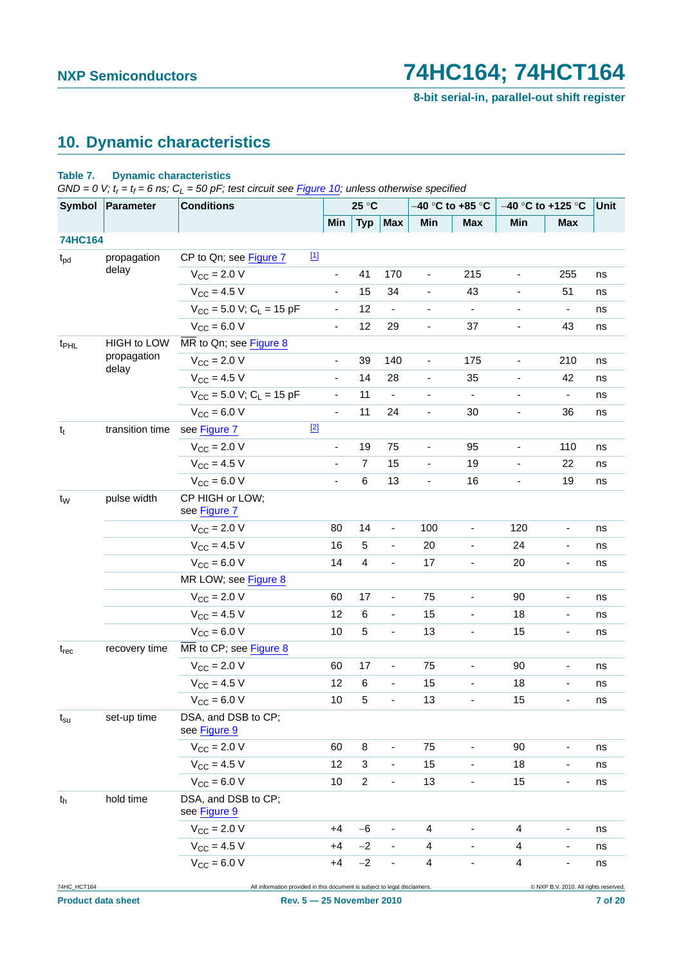**8-bit serial-in, parallel-out shift register**

## <span id="page-6-0"></span>**10. Dynamic characteristics**

### **Table 7. Dynamic characteristics**

 $GND = 0$  V;  $t_r = t_f = 6$  ns;  $C_L = 50$  pF; test circuit see [Figure 10;](#page-10-0) unless otherwise specified

| Symbol           | Parameter          | <b>Conditions</b>                                                          |                          | 25 °C          |                              |                              | -40 °C to +85 °C             | $-40$ °C to +125 °C          |                                       | Unit |
|------------------|--------------------|----------------------------------------------------------------------------|--------------------------|----------------|------------------------------|------------------------------|------------------------------|------------------------------|---------------------------------------|------|
|                  |                    |                                                                            | Min                      | <b>Typ</b>     | <b>Max</b>                   | Min                          | <b>Max</b>                   | Min                          | <b>Max</b>                            |      |
| 74HC164          |                    |                                                                            |                          |                |                              |                              |                              |                              |                                       |      |
| $t_{\text{pd}}$  | propagation        | $\boxed{1}$<br>CP to Qn; see Figure 7                                      |                          |                |                              |                              |                              |                              |                                       |      |
|                  | delay              | $V_{CC} = 2.0 V$                                                           | $\overline{\phantom{0}}$ | 41             | 170                          | $\overline{\phantom{a}}$     | 215                          | $\overline{\phantom{a}}$     | 255                                   | ns   |
|                  |                    | $V_{CC} = 4.5 V$                                                           | $\overline{\phantom{0}}$ | 15             | 34                           | $\qquad \qquad \blacksquare$ | 43                           | $\overline{\phantom{0}}$     | 51                                    | ns   |
|                  |                    | $V_{CC}$ = 5.0 V; C <sub>L</sub> = 15 pF                                   | $\blacksquare$           | 12             | $\blacksquare$               | $\blacksquare$               | $\blacksquare$               | $\overline{\phantom{a}}$     | $\overline{\phantom{a}}$              | ns   |
|                  |                    | $V_{CC} = 6.0 V$                                                           | $\frac{1}{2}$            | 12             | 29                           | $\overline{\phantom{a}}$     | 37                           | $\overline{\phantom{a}}$     | 43                                    | ns   |
| t <sub>PHL</sub> | <b>HIGH to LOW</b> | MR to Qn; see Figure 8                                                     |                          |                |                              |                              |                              |                              |                                       |      |
|                  | propagation        | $V_{CC}$ = 2.0 V                                                           | -                        | 39             | 140                          | $\blacksquare$               | 175                          | $\qquad \qquad \blacksquare$ | 210                                   | ns   |
|                  | delay              | $V_{CC}$ = 4.5 V                                                           | $\overline{\phantom{0}}$ | 14             | 28                           | $\blacksquare$               | 35                           | $\overline{\phantom{a}}$     | 42                                    | ns   |
|                  |                    | $V_{CC}$ = 5.0 V; C <sub>L</sub> = 15 pF                                   | ÷,                       | 11             | $\blacksquare$               | $\qquad \qquad \blacksquare$ | $\overline{\phantom{a}}$     | $\overline{\phantom{a}}$     | $\overline{\phantom{a}}$              | ns   |
|                  |                    | $V_{CC} = 6.0 V$                                                           | $\blacksquare$           | 11             | 24                           | $\blacksquare$               | 30                           | $\overline{\phantom{a}}$     | 36                                    | ns   |
| $t_t$            | transition time    | $[2]$<br>see Figure 7                                                      |                          |                |                              |                              |                              |                              |                                       |      |
|                  |                    | $V_{\text{CC}} = 2.0 V$                                                    | $\overline{\phantom{a}}$ | 19             | 75                           | $\overline{\phantom{a}}$     | 95                           | $\overline{\phantom{a}}$     | 110                                   | ns   |
|                  |                    | $V_{CC} = 4.5 V$                                                           |                          | $\overline{7}$ | 15                           | $\qquad \qquad \blacksquare$ | 19                           | $\overline{\phantom{a}}$     | 22                                    | ns   |
|                  |                    | $V_{CC} = 6.0 V$                                                           | $\overline{\phantom{0}}$ | 6              | 13                           | $\blacksquare$               | 16                           | $\overline{\phantom{a}}$     | 19                                    | ns   |
| t <sub>w</sub>   | pulse width        | CP HIGH or LOW;<br>see Figure 7                                            |                          |                |                              |                              |                              |                              |                                       |      |
|                  |                    | $V_{\rm CC} = 2.0 V$                                                       | 80                       | 14             | $\blacksquare$               | 100                          | $\overline{\phantom{a}}$     | 120                          | $\overline{\phantom{a}}$              | ns   |
|                  |                    | $V_{CC} = 4.5 V$                                                           | 16                       | $\sqrt{5}$     | $\blacksquare$               | 20                           | $\overline{\phantom{a}}$     | 24                           | $\qquad \qquad \blacksquare$          | ns   |
|                  |                    | $V_{CC}$ = 6.0 V                                                           | 14                       | $\overline{4}$ | $\blacksquare$               | 17                           | $\qquad \qquad \blacksquare$ | 20                           | $\overline{\phantom{a}}$              | ns   |
|                  |                    | MR LOW; see Figure 8                                                       |                          |                |                              |                              |                              |                              |                                       |      |
|                  |                    | $V_{CC}$ = 2.0 V                                                           | 60                       | 17             | $\overline{\phantom{a}}$     | 75                           | $\overline{\phantom{a}}$     | 90                           | $\overline{\phantom{a}}$              | ns   |
|                  |                    | $V_{CC} = 4.5 V$                                                           | 12                       | $\,6$          | $\blacksquare$               | 15                           | $\overline{\phantom{a}}$     | 18                           | $\blacksquare$                        | ns   |
|                  |                    | $V_{CC}$ = 6.0 V                                                           | 10                       | $\overline{5}$ | $\blacksquare$               | 13                           | $\overline{\phantom{a}}$     | 15                           | $\overline{\phantom{a}}$              | ns   |
| $t_{rec}$        | recovery time      | MR to CP; see Figure 8                                                     |                          |                |                              |                              |                              |                              |                                       |      |
|                  |                    | $V_{\text{CC}} = 2.0 V$                                                    | 60                       | 17             | $\overline{\phantom{a}}$     | 75                           | $\overline{\phantom{a}}$     | 90                           | $\overline{\phantom{a}}$              | ns   |
|                  |                    | $V_{CC} = 4.5 V$                                                           | 12                       | $\,6\,$        | $\blacksquare$               | 15                           | $\qquad \qquad \blacksquare$ | 18                           | $\qquad \qquad \blacksquare$          | ns   |
|                  |                    | $V_{CC} = 6.0 V$                                                           | 10                       | 5              | $\blacksquare$               | 13                           | $\overline{\phantom{a}}$     | 15                           | $\overline{\phantom{a}}$              | ns   |
| $t_{\rm su}$     | set-up time        | DSA, and DSB to CP;<br>see Figure 9                                        |                          |                |                              |                              |                              |                              |                                       |      |
|                  |                    | $V_{CC}$ = 2.0 V                                                           | 60                       | 8              | -                            | 75                           |                              | 90                           |                                       | ns   |
|                  |                    | $V_{CC}$ = 4.5 V                                                           | 12                       | 3              |                              | 15                           |                              | 18                           |                                       | ns   |
|                  |                    | $V_{CC}$ = 6.0 V                                                           | 10                       | $\overline{c}$ | $\qquad \qquad \blacksquare$ | 13                           | $\qquad \qquad \blacksquare$ | 15                           | -                                     | ns   |
| $t_{h}$          | hold time          | DSA, and DSB to CP;<br>see Figure 9                                        |                          |                |                              |                              |                              |                              |                                       |      |
|                  |                    | $V_{\text{CC}} = 2.0 V$                                                    | +4                       | $-6$           | $\qquad \qquad \blacksquare$ | 4                            |                              | 4                            |                                       | ns   |
|                  |                    | $V_{\text{CC}} = 4.5 V$                                                    | +4                       | $-2$           |                              | 4                            |                              | 4                            |                                       | ns   |
|                  |                    | $V_{CC}$ = 6.0 V                                                           | +4                       | $-2$           | $\qquad \qquad \blacksquare$ | 4                            | $\qquad \qquad \blacksquare$ | 4                            | ۰                                     | ns   |
| 74HC_HCT164      |                    | All information provided in this document is subject to legal disclaimers. |                          |                |                              |                              |                              |                              | C NXP B.V. 2010. All rights reserved. |      |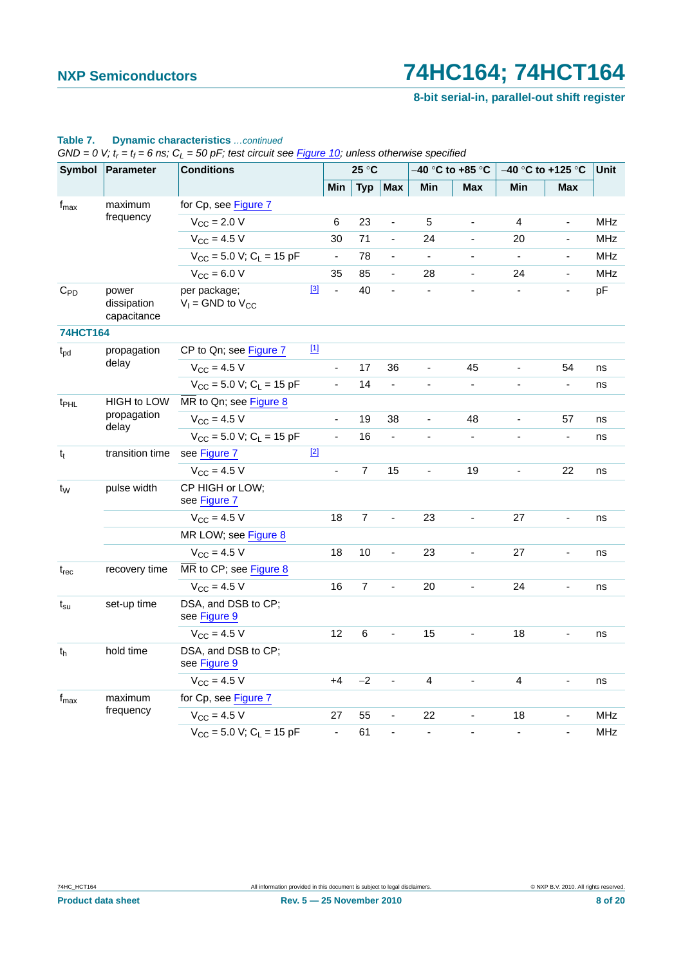**8-bit serial-in, parallel-out shift register**

| Symbol           | Parameter                           | <b>Conditions</b>                        |             |                          | 25 °C          |                          |                              | -40 °C to +85 °C         |                          | $-40$ °C to +125 °C          | <b>Unit</b> |
|------------------|-------------------------------------|------------------------------------------|-------------|--------------------------|----------------|--------------------------|------------------------------|--------------------------|--------------------------|------------------------------|-------------|
|                  |                                     |                                          |             | Min                      | <b>Typ</b>     | <b>Max</b>               | Min                          | <b>Max</b>               | Min                      | <b>Max</b>                   |             |
| $f_{\text{max}}$ | maximum                             | for Cp, see Figure 7                     |             |                          |                |                          |                              |                          |                          |                              |             |
|                  | frequency                           | $V_{\text{CC}}$ = 2.0 V                  |             | 6                        | 23             | $\blacksquare$           | 5                            | $\overline{\phantom{a}}$ | 4                        | ÷,                           | <b>MHz</b>  |
|                  |                                     | $V_{CC}$ = 4.5 V                         |             | 30                       | 71             | $\blacksquare$           | 24                           | $\blacksquare$           | 20                       | $\qquad \qquad \blacksquare$ | <b>MHz</b>  |
|                  |                                     | $V_{CC}$ = 5.0 V; C <sub>L</sub> = 15 pF |             | $\overline{\phantom{a}}$ | 78             | $\blacksquare$           | $\blacksquare$               |                          | $\blacksquare$           | $\blacksquare$               | <b>MHz</b>  |
|                  |                                     | $V_{CC}$ = 6.0 V                         |             | 35                       | 85             | ÷,                       | 28                           | $\overline{\phantom{a}}$ | 24                       | $\blacksquare$               | <b>MHz</b>  |
| $C_{PD}$         | power<br>dissipation<br>capacitance | per package;<br>$V_1$ = GND to $V_{CC}$  | $\boxed{3}$ | $\blacksquare$           | 40             | $\frac{1}{2}$            |                              |                          |                          | ÷,                           | pF          |
| <b>74HCT164</b>  |                                     |                                          |             |                          |                |                          |                              |                          |                          |                              |             |
| $t_{\text{pd}}$  | propagation                         | CP to Qn; see Figure 7                   | $[1]$       |                          |                |                          |                              |                          |                          |                              |             |
|                  | delay                               | $V_{CC}$ = 4.5 V                         |             | $\overline{a}$           | 17             | 36                       | ÷,                           | 45                       | ÷,                       | 54                           | ns          |
|                  |                                     | $V_{CC}$ = 5.0 V; C <sub>L</sub> = 15 pF |             | $\overline{\phantom{a}}$ | 14             | $\Box$                   |                              | $\overline{\phantom{a}}$ | $\overline{a}$           | ÷,                           | ns          |
| t <sub>PHL</sub> | <b>HIGH to LOW</b>                  | MR to Qn; see Figure 8                   |             |                          |                |                          |                              |                          |                          |                              |             |
|                  | propagation<br>delay                | $V_{CC}$ = 4.5 V                         |             | $\blacksquare$           | 19             | 38                       | $\blacksquare$               | 48                       | $\overline{\phantom{a}}$ | 57                           | ns          |
|                  |                                     | $V_{CC}$ = 5.0 V; C <sub>L</sub> = 15 pF |             | $\overline{\phantom{a}}$ | 16             | $\blacksquare$           | $\qquad \qquad \blacksquare$ | $\overline{\phantom{a}}$ | $\overline{\phantom{a}}$ | $\overline{\phantom{a}}$     | ns          |
| $t_{t}$          | transition time                     | see Figure 7                             | $[2]$       |                          |                |                          |                              |                          |                          |                              |             |
|                  |                                     | $V_{CC}$ = 4.5 V                         |             | $\blacksquare$           | $\overline{7}$ | 15                       | ÷,                           | 19                       | $\blacksquare$           | 22                           | ns          |
| t <sub>w</sub>   | pulse width                         | CP HIGH or LOW;<br>see Figure 7          |             |                          |                |                          |                              |                          |                          |                              |             |
|                  |                                     | $V_{CC}$ = 4.5 V                         |             | 18                       | $\overline{7}$ | ÷,                       | 23                           | $\blacksquare$           | 27                       | $\blacksquare$               | ns          |
|                  |                                     | MR LOW; see Figure 8                     |             |                          |                |                          |                              |                          |                          |                              |             |
|                  |                                     | $V_{\rm CC} = 4.5 V$                     |             | 18                       | 10             | ÷,                       | 23                           |                          | 27                       |                              | ns          |
| $t_{rec}$        | recovery time                       | MR to CP; see Figure 8                   |             |                          |                |                          |                              |                          |                          |                              |             |
|                  |                                     | $V_{CC}$ = 4.5 V                         |             | 16                       | $\overline{7}$ | $\overline{\phantom{a}}$ | 20                           | $\overline{\phantom{a}}$ | 24                       |                              | ns          |
| $t_{\rm su}$     | set-up time                         | DSA, and DSB to CP;<br>see Figure 9      |             |                          |                |                          |                              |                          |                          |                              |             |
|                  |                                     | $V_{CC}$ = 4.5 V                         |             | 12                       | 6              | $\overline{\phantom{a}}$ | 15                           | $\blacksquare$           | 18                       |                              | ns          |
| t <sub>h</sub>   | hold time                           | DSA, and DSB to CP;<br>see Figure 9      |             |                          |                |                          |                              |                          |                          |                              |             |
|                  |                                     | $V_{CC}$ = 4.5 V                         |             | $+4$                     | $-2$           | ÷,                       | 4                            | L,                       | 4                        |                              | ns          |
| $f_{\text{max}}$ | maximum                             | for Cp, see Figure 7                     |             |                          |                |                          |                              |                          |                          |                              |             |
|                  | frequency                           | $V_{CC}$ = 4.5 V                         |             | 27                       | 55             | $\blacksquare$           | 22                           | $\blacksquare$           | 18                       |                              | <b>MHz</b>  |
|                  |                                     | $V_{CC}$ = 5.0 V; C <sub>L</sub> = 15 pF |             | $\blacksquare$           | 61             | $\overline{\phantom{a}}$ |                              | ÷,                       | $\overline{\phantom{a}}$ | $\overline{a}$               | <b>MHz</b>  |

### **Table 7. Dynamic characteristics** *…continued*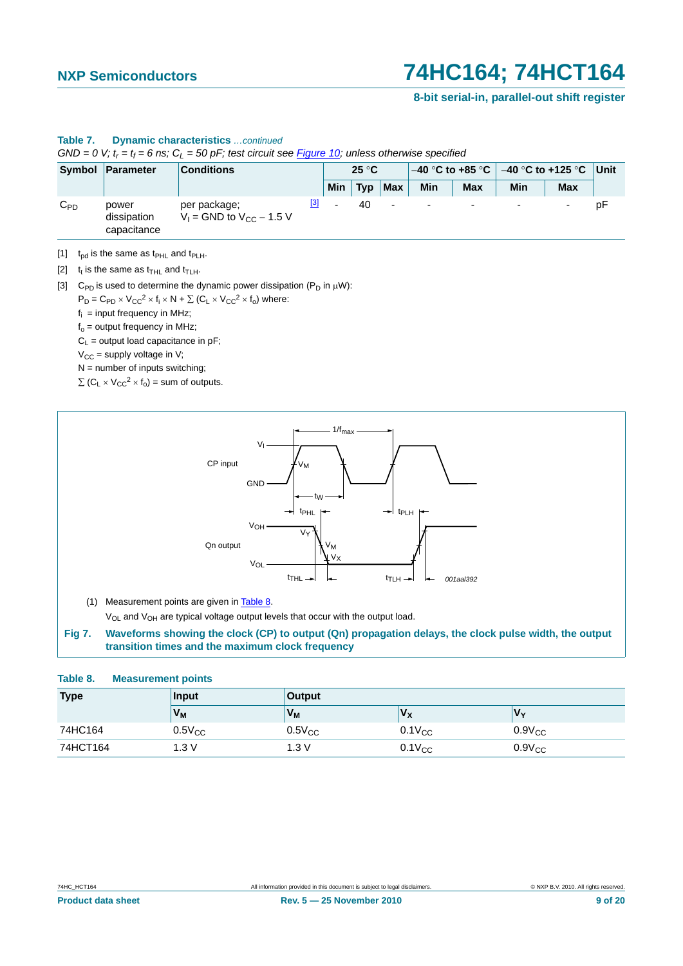### **8-bit serial-in, parallel-out shift register**

|          | Symbol Parameter<br><b>Conditions</b> |                                                 | $25^{\circ}$ C |     |     | $-40$ °C to +85 °C $\parallel$ |                          | $-40$ °C to +125 °C Unit |     |                          |    |
|----------|---------------------------------------|-------------------------------------------------|----------------|-----|-----|--------------------------------|--------------------------|--------------------------|-----|--------------------------|----|
|          |                                       |                                                 |                | Min | Typ | <b>Max</b>                     | Min                      | Max                      | Min | <b>Max</b>               |    |
| $C_{PD}$ | power<br>dissipation<br>capacitance   | per package;<br>$V_1$ = GND to $V_{CC}$ – 1.5 V | $[3]$          |     | 40  | $\blacksquare$                 | $\overline{\phantom{0}}$ | $\overline{\phantom{a}}$ |     | $\overline{\phantom{0}}$ | рF |

## **Table 7. Dynamic characteristics** *…continued*

*GND* = 0 V;  $t_r$  =  $t_f$  = 6 ns;  $C_L$  = 50 pF; test circuit see **Figure 10**; unless otherwise specified

<span id="page-8-1"></span>[1]  $t_{\text{pd}}$  is the same as  $t_{\text{PHL}}$  and  $t_{\text{PLH}}$ .

<span id="page-8-2"></span>[2]  $t_t$  is the same as  $t_{THL}$  and  $t_{TLH}$ .

<span id="page-8-3"></span>[3] C<sub>PD</sub> is used to determine the dynamic power dissipation ( $P_D$  in  $\mu$ W):

 $P_D = C_{PD} \times V_{CC}^2 \times f_i \times N + \sum (C_L \times V_{CC}^2 \times f_0)$  where:

 $f_i$  = input frequency in MHz;

 $f_0$  = output frequency in MHz;

 $C_L$  = output load capacitance in pF;

 $V_{CC}$  = supply voltage in V;

 $N =$  number of inputs switching;

 $\Sigma$  (C<sub>L</sub>  $\times$  V<sub>CC</sub><sup>2</sup>  $\times$  f<sub>o</sub>) = sum of outputs.



(1) Measurement points are given in [Table 8.](#page-8-4) V<sub>OL</sub> and V<sub>OH</sub> are typical voltage output levels that occur with the output load.

<span id="page-8-0"></span>**Fig 7. Waveforms showing the clock (CP) to output (Qn) propagation delays, the clock pulse width, the output transition times and the maximum clock frequency**

### <span id="page-8-4"></span>**Table 8. Measurement points**

| <b>Type</b> | Input       | <b>Output</b> |             |             |
|-------------|-------------|---------------|-------------|-------------|
|             | $V_{M}$     | $V_{M}$       | $V_{\rm X}$ | 'Vv         |
| 74HC164     | $0.5V_{CC}$ | $0.5V_{CC}$   | $0.1V_{CC}$ | $0.9V_{CC}$ |
| 74HCT164    | 1.3V        | 1.3V          | $0.1V_{CC}$ | $0.9V_{CC}$ |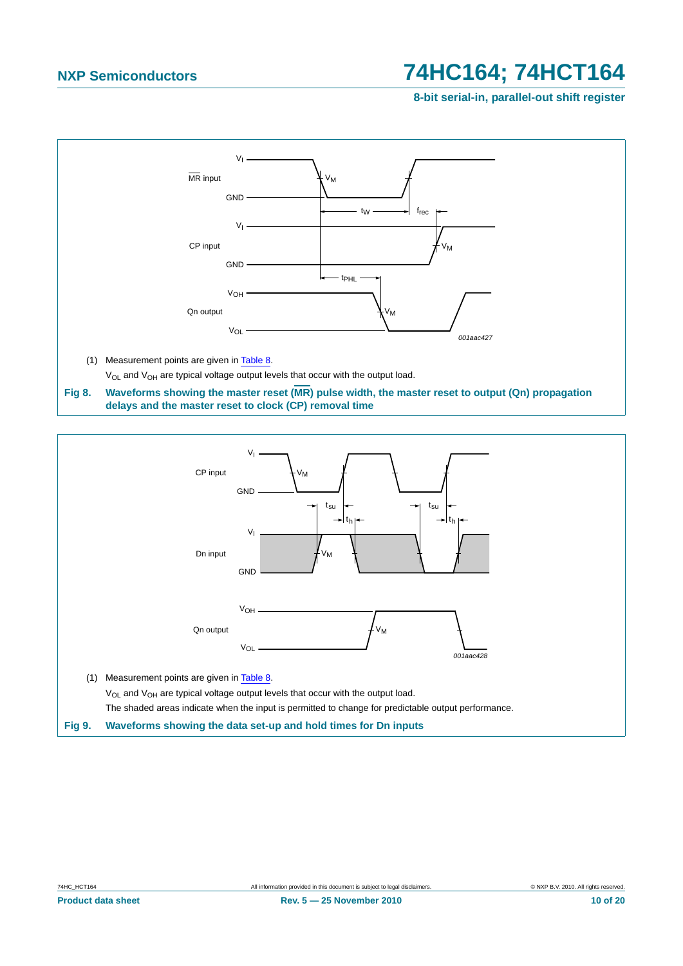**8-bit serial-in, parallel-out shift register**



<span id="page-9-0"></span>



<span id="page-9-1"></span>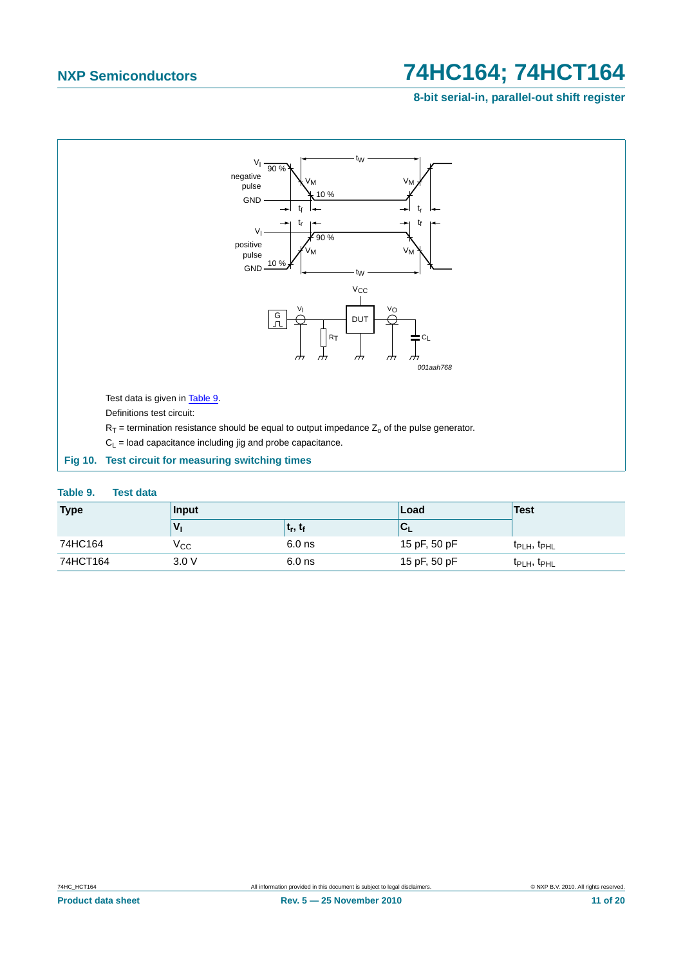**8-bit serial-in, parallel-out shift register**



### <span id="page-10-1"></span><span id="page-10-0"></span>**Table 9. Test data**

| <b>Type</b> | <b>Input</b> |            | Load         | Test                                |
|-------------|--------------|------------|--------------|-------------------------------------|
|             |              | $t_r, t_f$ | ◡            |                                     |
| 74HC164     | $V_{\rm CC}$ | $6.0$ ns   | 15 pF, 50 pF | t <sub>PLH</sub> , t <sub>PHL</sub> |
| 74HCT164    | 3.0V         | $6.0$ ns   | 15 pF, 50 pF | t <sub>PLH</sub> , t <sub>PHL</sub> |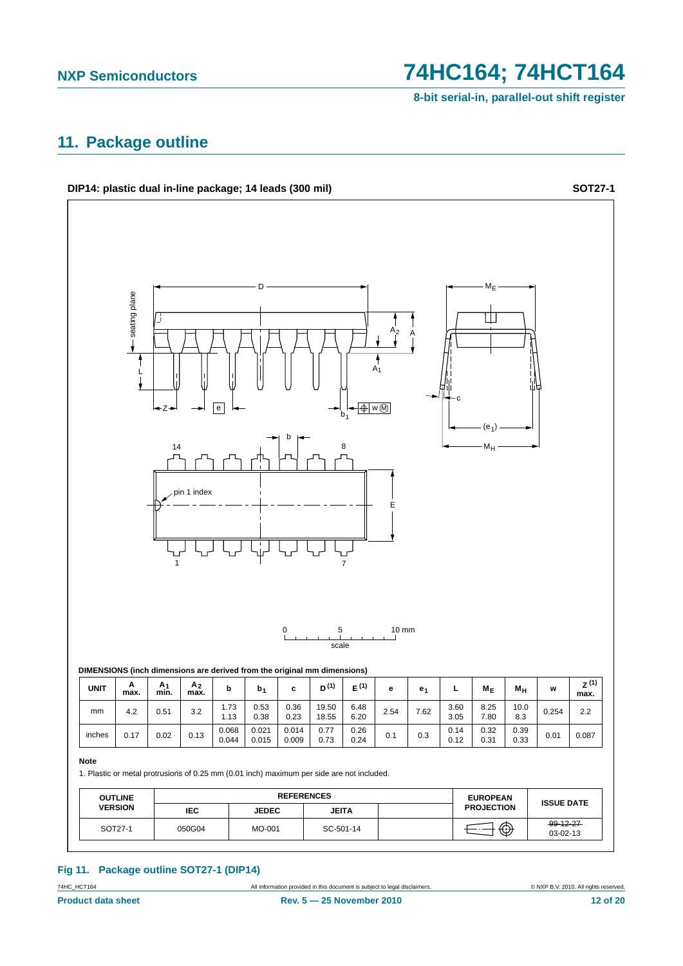**8-bit serial-in, parallel-out shift register**

## <span id="page-11-0"></span>**11. Package outline**



## **Fig 11. Package outline SOT27-1 (DIP14)**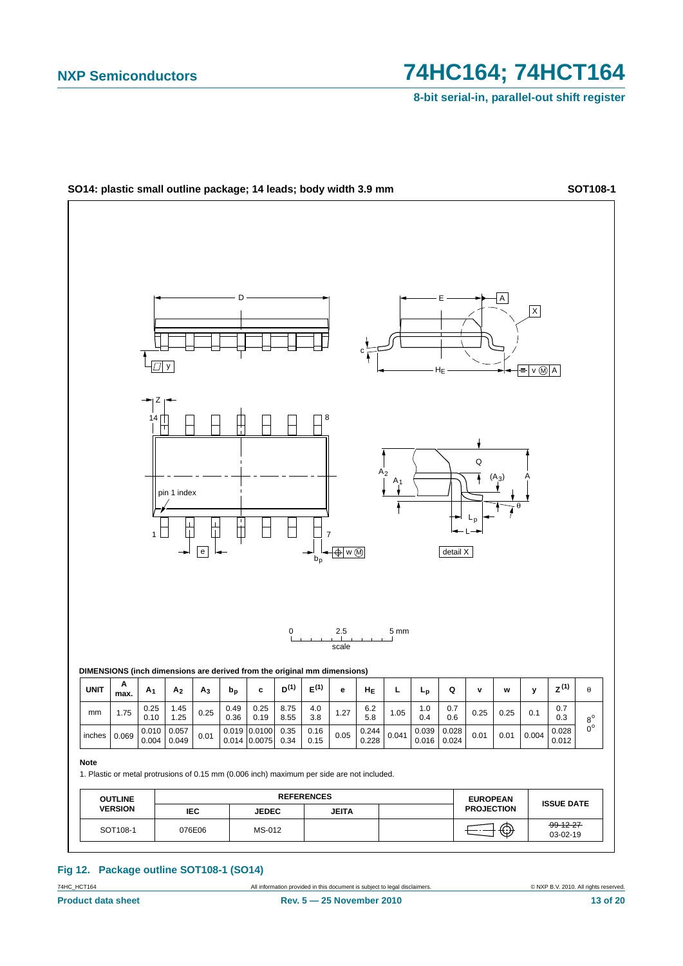**8-bit serial-in, parallel-out shift register**



### **Fig 12. Package outline SOT108-1 (SO14)**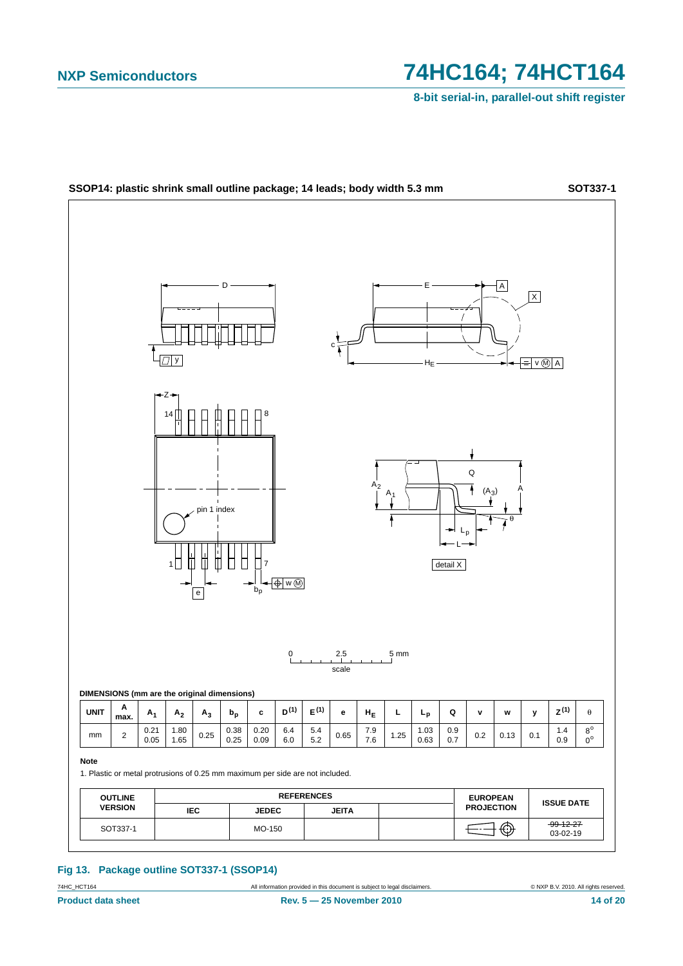**8-bit serial-in, parallel-out shift register**



**Fig 13. Package outline SOT337-1 (SSOP14)**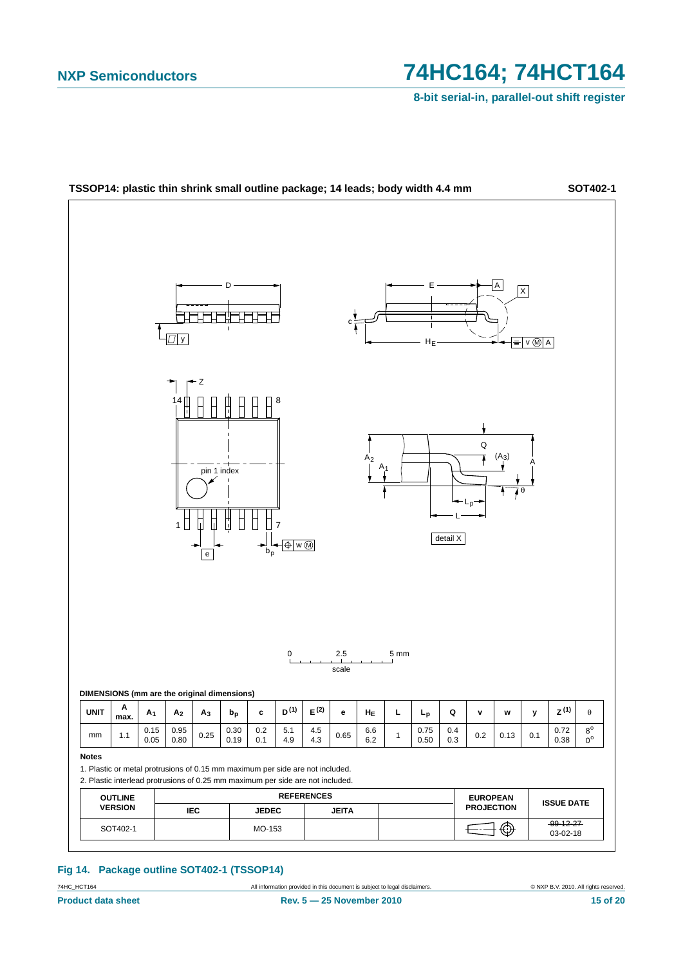**8-bit serial-in, parallel-out shift register**



### **Fig 14. Package outline SOT402-1 (TSSOP14)**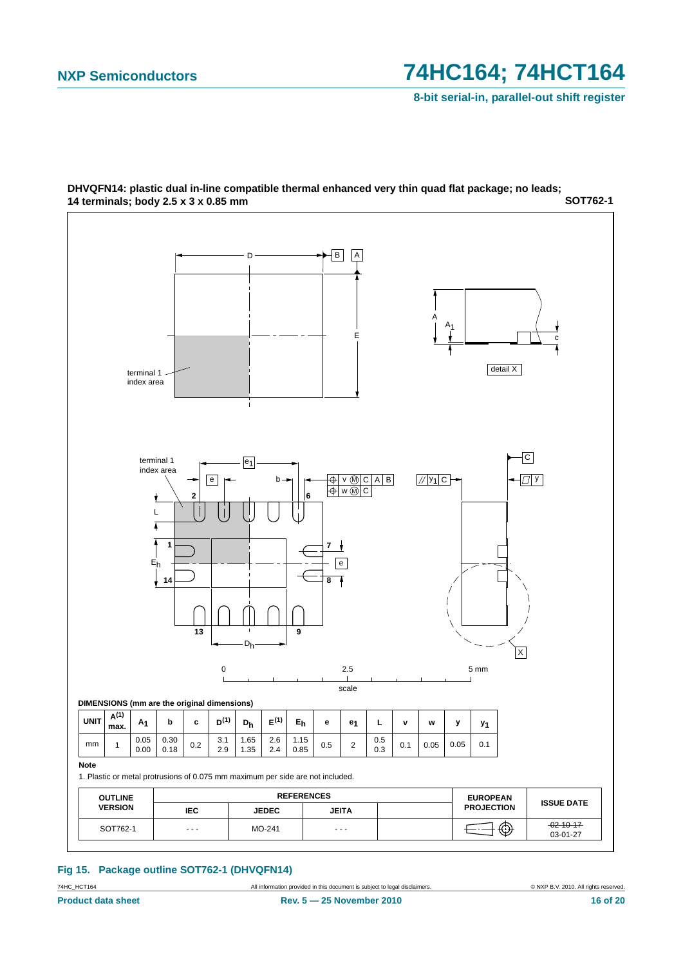**8-bit serial-in, parallel-out shift register**



### **SOT762-1 DHVQFN14: plastic dual in-line compatible thermal enhanced very thin quad flat package; no leads; 14 terminals; body 2.5 x 3 x 0.85 mm**

**Fig 15. Package outline SOT762-1 (DHVQFN14)**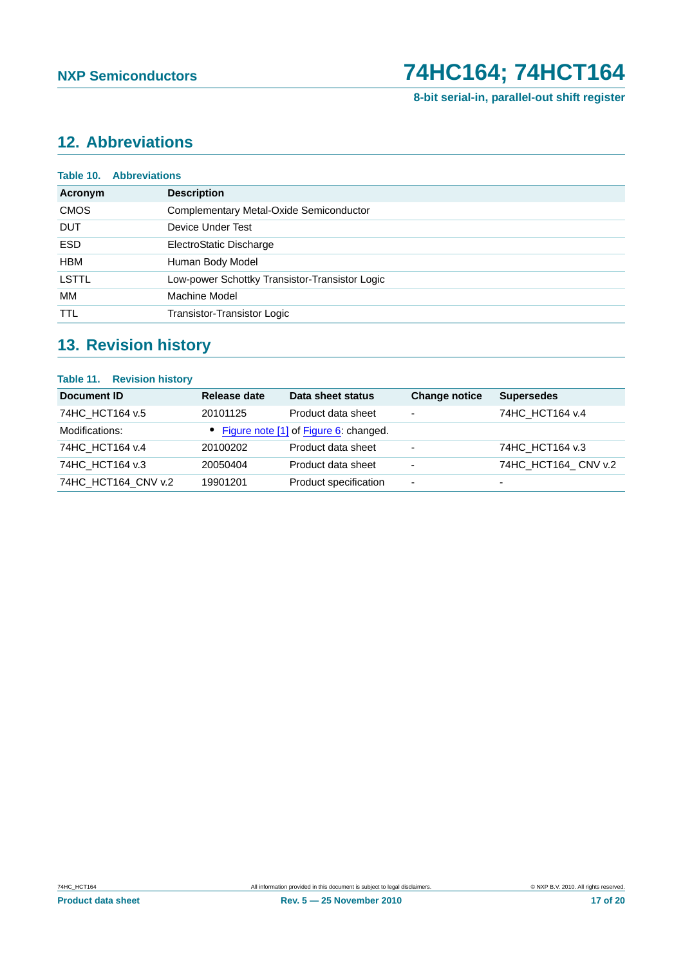

**8-bit serial-in, parallel-out shift register**

# <span id="page-16-0"></span>**12. Abbreviations**

| Table 10.    | <b>Abbreviations</b>                           |
|--------------|------------------------------------------------|
| Acronym      | <b>Description</b>                             |
| <b>CMOS</b>  | Complementary Metal-Oxide Semiconductor        |
| <b>DUT</b>   | Device Under Test                              |
| <b>ESD</b>   | ElectroStatic Discharge                        |
| <b>HBM</b>   | Human Body Model                               |
| <b>LSTTL</b> | Low-power Schottky Transistor-Transistor Logic |
| МM           | Machine Model                                  |
| <b>TTL</b>   | Transistor-Transistor Logic                    |
|              |                                                |

# <span id="page-16-1"></span>**13. Revision history**

## **Table 11. Revision history**

| Document ID         | Release date | Data sheet status                       | <b>Change notice</b>     | <b>Supersedes</b>        |
|---------------------|--------------|-----------------------------------------|--------------------------|--------------------------|
| 74HC HCT164 v.5     | 20101125     | Product data sheet                      | $\overline{\phantom{a}}$ | 74HC HCT164 v.4          |
| Modifications:      |              | • Figure note [1] of Figure 6: changed. |                          |                          |
| 74HC HCT164 v.4     | 20100202     | Product data sheet                      | $\overline{\phantom{0}}$ | 74HC HCT164 v.3          |
| 74HC HCT164 v.3     | 20050404     | Product data sheet                      | $\overline{\phantom{0}}$ | 74HC HCT164 CNV v.2      |
| 74HC HCT164 CNV v.2 | 19901201     | Product specification                   | $\overline{\phantom{0}}$ | $\overline{\phantom{0}}$ |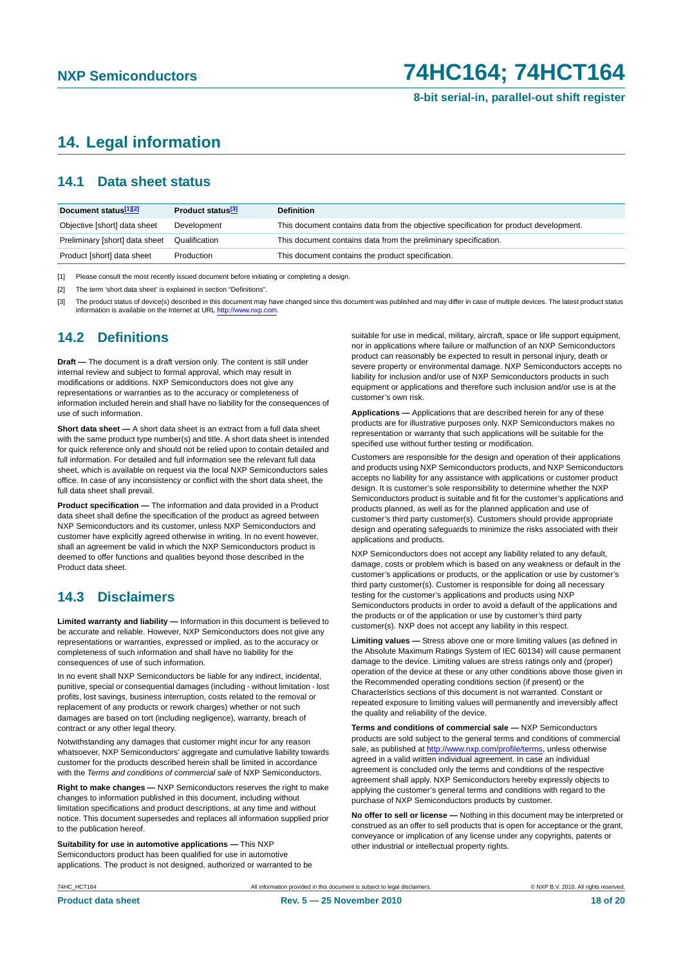**8-bit serial-in, parallel-out shift register**

## <span id="page-17-0"></span>**14. Legal information**

## <span id="page-17-1"></span>**14.1 Data sheet status**

| Document status[1][2]          | <b>Product status</b> <sup>[3]</sup> | <b>Definition</b>                                                                     |
|--------------------------------|--------------------------------------|---------------------------------------------------------------------------------------|
| Objective [short] data sheet   | Development                          | This document contains data from the objective specification for product development. |
| Preliminary [short] data sheet | Qualification                        | This document contains data from the preliminary specification.                       |
| Product [short] data sheet     | Production                           | This document contains the product specification.                                     |

[1] Please consult the most recently issued document before initiating or completing a design.

[2] The term 'short data sheet' is explained in section "Definitions".

[3] The product status of device(s) described in this document may have changed since this document was published and may differ in case of multiple devices. The latest product status<br>information is available on the Intern

## <span id="page-17-2"></span>**14.2 Definitions**

**Draft —** The document is a draft version only. The content is still under internal review and subject to formal approval, which may result in modifications or additions. NXP Semiconductors does not give any representations or warranties as to the accuracy or completeness of information included herein and shall have no liability for the consequences of use of such information.

**Short data sheet —** A short data sheet is an extract from a full data sheet with the same product type number(s) and title. A short data sheet is intended for quick reference only and should not be relied upon to contain detailed and full information. For detailed and full information see the relevant full data sheet, which is available on request via the local NXP Semiconductors sales office. In case of any inconsistency or conflict with the short data sheet, the full data sheet shall prevail.

**Product specification —** The information and data provided in a Product data sheet shall define the specification of the product as agreed between NXP Semiconductors and its customer, unless NXP Semiconductors and customer have explicitly agreed otherwise in writing. In no event however, shall an agreement be valid in which the NXP Semiconductors product is deemed to offer functions and qualities beyond those described in the Product data sheet.

## <span id="page-17-3"></span>**14.3 Disclaimers**

**Limited warranty and liability —** Information in this document is believed to be accurate and reliable. However, NXP Semiconductors does not give any representations or warranties, expressed or implied, as to the accuracy or completeness of such information and shall have no liability for the consequences of use of such information.

In no event shall NXP Semiconductors be liable for any indirect, incidental, punitive, special or consequential damages (including - without limitation - lost profits, lost savings, business interruption, costs related to the removal or replacement of any products or rework charges) whether or not such damages are based on tort (including negligence), warranty, breach of contract or any other legal theory.

Notwithstanding any damages that customer might incur for any reason whatsoever, NXP Semiconductors' aggregate and cumulative liability towards customer for the products described herein shall be limited in accordance with the *Terms and conditions of commercial sale* of NXP Semiconductors.

**Right to make changes —** NXP Semiconductors reserves the right to make changes to information published in this document, including without limitation specifications and product descriptions, at any time and without notice. This document supersedes and replaces all information supplied prior to the publication hereof.

**Suitability for use in automotive applications —** This NXP Semiconductors product has been qualified for use in automotive applications. The product is not designed, authorized or warranted to be suitable for use in medical, military, aircraft, space or life support equipment nor in applications where failure or malfunction of an NXP Semiconductors product can reasonably be expected to result in personal injury, death or severe property or environmental damage. NXP Semiconductors accepts no liability for inclusion and/or use of NXP Semiconductors products in such equipment or applications and therefore such inclusion and/or use is at the customer's own risk.

**Applications —** Applications that are described herein for any of these products are for illustrative purposes only. NXP Semiconductors makes no representation or warranty that such applications will be suitable for the specified use without further testing or modification.

Customers are responsible for the design and operation of their applications and products using NXP Semiconductors products, and NXP Semiconductors accepts no liability for any assistance with applications or customer product design. It is customer's sole responsibility to determine whether the NXP Semiconductors product is suitable and fit for the customer's applications and products planned, as well as for the planned application and use of customer's third party customer(s). Customers should provide appropriate design and operating safeguards to minimize the risks associated with their applications and products.

NXP Semiconductors does not accept any liability related to any default, damage, costs or problem which is based on any weakness or default in the customer's applications or products, or the application or use by customer's third party customer(s). Customer is responsible for doing all necessary testing for the customer's applications and products using NXP Semiconductors products in order to avoid a default of the applications and the products or of the application or use by customer's third party customer(s). NXP does not accept any liability in this respect.

**Limiting values —** Stress above one or more limiting values (as defined in the Absolute Maximum Ratings System of IEC 60134) will cause permanent damage to the device. Limiting values are stress ratings only and (proper) operation of the device at these or any other conditions above those given in the Recommended operating conditions section (if present) or the Characteristics sections of this document is not warranted. Constant or repeated exposure to limiting values will permanently and irreversibly affect the quality and reliability of the device.

**Terms and conditions of commercial sale —** NXP Semiconductors products are sold subject to the general terms and conditions of commercial sale, as published at http://www.nxp.com/profile/terms, unless otherwise agreed in a valid written individual agreement. In case an individual agreement is concluded only the terms and conditions of the respective agreement shall apply. NXP Semiconductors hereby expressly objects to applying the customer's general terms and conditions with regard to the purchase of NXP Semiconductors products by customer.

**No offer to sell or license —** Nothing in this document may be interpreted or construed as an offer to sell products that is open for acceptance or the grant, conveyance or implication of any license under any copyrights, patents or other industrial or intellectual property rights.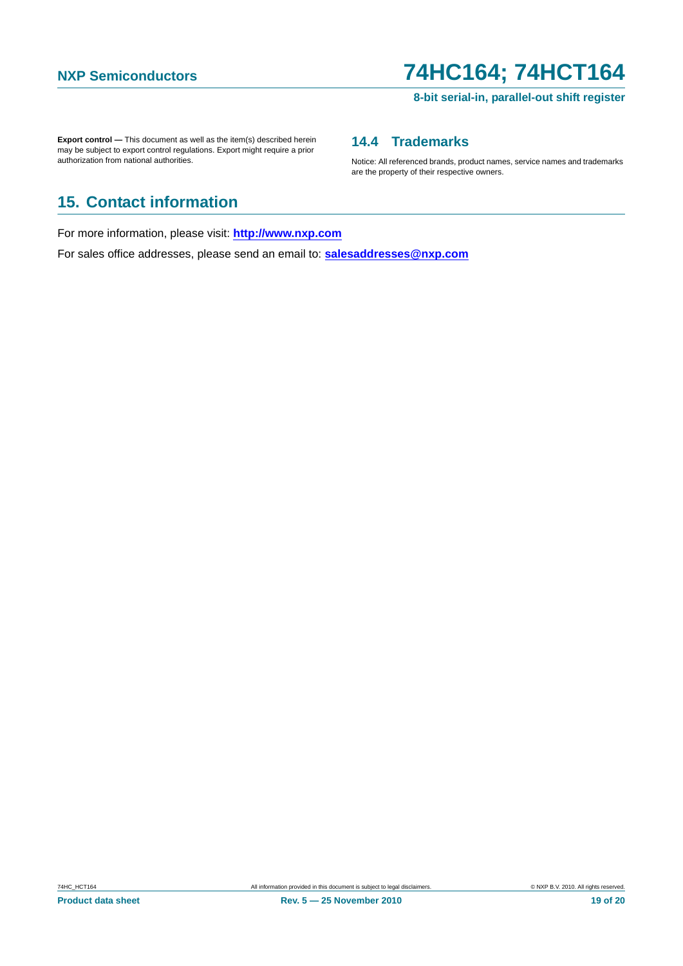### **8-bit serial-in, parallel-out shift register**

**Export control —** This document as well as the item(s) described herein may be subject to export control regulations. Export might require a prior authorization from national authorities.

## <span id="page-18-0"></span>**14.4 Trademarks**

Notice: All referenced brands, product names, service names and trademarks are the property of their respective owners.

# <span id="page-18-1"></span>**15. Contact information**

For more information, please visit: **http://www.nxp.com**

For sales office addresses, please send an email to: **salesaddresses@nxp.com**